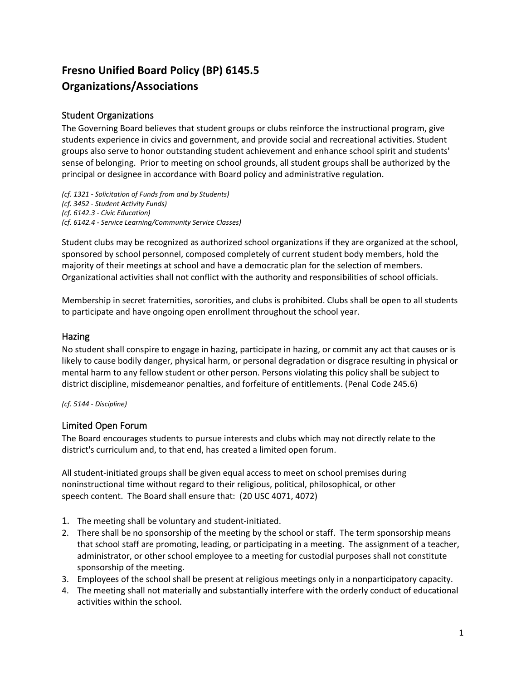# **Fresno Unified Board Policy (BP) 6145.5 Organizations/Associations**

## Student Organizations

The Governing Board believes that student groups or clubs reinforce the instructional program, give students experience in civics and government, and provide social and recreational activities. Student groups also serve to honor outstanding student achievement and enhance school spirit and students' sense of belonging. Prior to meeting on school grounds, all student groups shall be authorized by the principal or designee in accordance with Board policy and administrative regulation.

*(cf. 1321 - Solicitation of Funds from and by Students) (cf. 3452 - Student Activity Funds) (cf. 6142.3 - Civic Education) (cf. 6142.4 - Service Learning/Community Service Classes)*

Student clubs may be recognized as authorized school organizations if they are organized at the school, sponsored by school personnel, composed completely of current student body members, hold the majority of their meetings at school and have a democratic plan for the selection of members. Organizational activities shall not conflict with the authority and responsibilities of school officials.

Membership in secret fraternities, sororities, and clubs is prohibited. Clubs shall be open to all students to participate and have ongoing open enrollment throughout the school year.

#### Hazing

No student shall conspire to engage in hazing, participate in hazing, or commit any act that causes or is likely to cause bodily danger, physical harm, or personal degradation or disgrace resulting in physical or mental harm to any fellow student or other person. Persons violating this policy shall be subject to district discipline, misdemeanor penalties, and forfeiture of entitlements. (Penal Code 245.6)

#### *(cf. 5144 - Discipline)*

### Limited Open Forum

The Board encourages students to pursue interests and clubs which may not directly relate to the district's curriculum and, to that end, has created a limited open forum.

All student-initiated groups shall be given equal access to meet on school premises during noninstructional time without regard to their religious, political, philosophical, or other speech content. The Board shall ensure that: (20 USC 4071, 4072)

- 1. The meeting shall be voluntary and student-initiated.
- 2. There shall be no sponsorship of the meeting by the school or staff. The term sponsorship means that school staff are promoting, leading, or participating in a meeting. The assignment of a teacher, administrator, or other school employee to a meeting for custodial purposes shall not constitute sponsorship of the meeting.
- 3. Employees of the school shall be present at religious meetings only in a nonparticipatory capacity.
- 4. The meeting shall not materially and substantially interfere with the orderly conduct of educational activities within the school.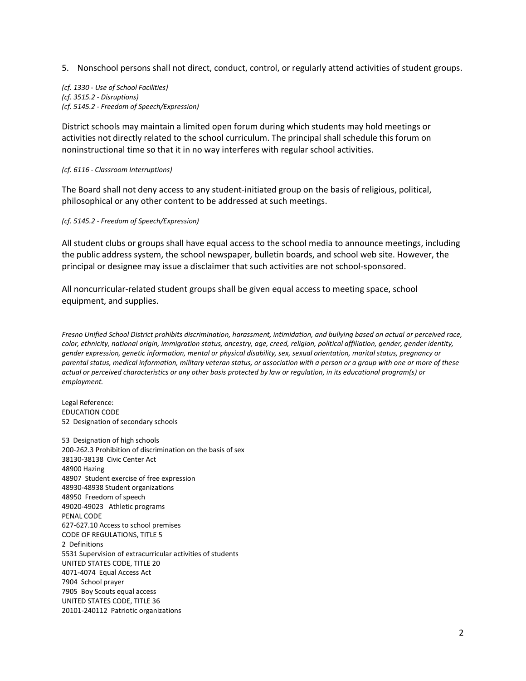5. Nonschool persons shall not direct, conduct, control, or regularly attend activities of student groups.

*(cf. 1330 - Use of School Facilities) (cf. 3515.2 - Disruptions) (cf. 5145.2 - Freedom of Speech/Expression)*

District schools may maintain a limited open forum during which students may hold meetings or activities not directly related to the school curriculum. The principal shall schedule this forum on noninstructional time so that it in no way interferes with regular school activities.

#### *(cf. 6116 - Classroom Interruptions)*

The Board shall not deny access to any student-initiated group on the basis of religious, political, philosophical or any other content to be addressed at such meetings.

*(cf. 5145.2 - Freedom of Speech/Expression)*

All student clubs or groups shall have equal access to the school media to announce meetings, including the public address system, the school newspaper, bulletin boards, and school web site. However, the principal or designee may issue a disclaimer that such activities are not school-sponsored.

All noncurricular-related student groups shall be given equal access to meeting space, school equipment, and supplies.

*Fresno Unified School District prohibits discrimination, harassment, intimidation, and bullying based on actual or perceived race, color, ethnicity, national origin, immigration status, ancestry, age, creed, religion, political affiliation, gender, gender identity, gender expression, genetic information, mental or physical disability, sex, sexual orientation, marital status, pregnancy or parental status, medical information, military veteran status, or association with a person or a group with one or more of these actual or perceived characteristics or any other basis protected by law or regulation, in its educational program(s) or employment.*

Legal Reference: EDUCATION CODE 52 Designation of secondary schools

53 Designation of high schools 200-262.3 Prohibition of discrimination on the basis of sex 38130-38138 Civic Center Act 48900 Hazing 48907 Student exercise of free expression 48930-48938 Student organizations 48950 Freedom of speech 49020-49023 Athletic programs PENAL CODE 627-627.10 Access to school premises CODE OF REGULATIONS, TITLE 5 2 Definitions 5531 Supervision of extracurricular activities of students UNITED STATES CODE, TITLE 20 4071-4074 Equal Access Act 7904 School prayer 7905 Boy Scouts equal access UNITED STATES CODE, TITLE 36 20101-240112 Patriotic organizations